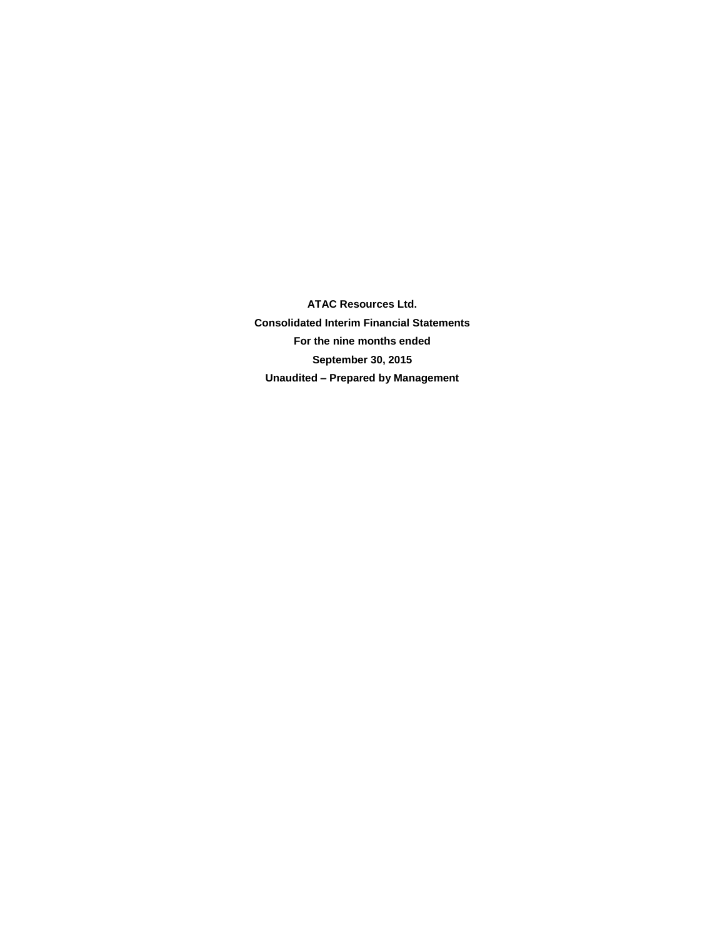**ATAC Resources Ltd. Consolidated Interim Financial Statements For the nine months ended September 30, 2015 Unaudited – Prepared by Management**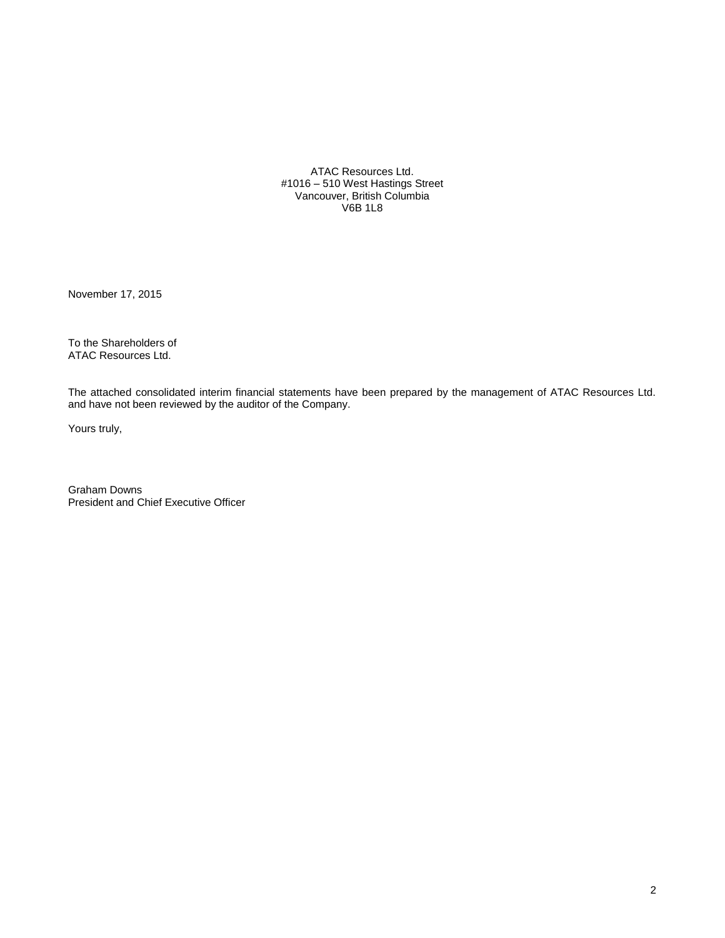ATAC Resources Ltd. #1016 – 510 West Hastings Street Vancouver, British Columbia V6B 1L8

November 17, 2015

To the Shareholders of ATAC Resources Ltd.

The attached consolidated interim financial statements have been prepared by the management of ATAC Resources Ltd. and have not been reviewed by the auditor of the Company.

Yours truly,

Graham Downs President and Chief Executive Officer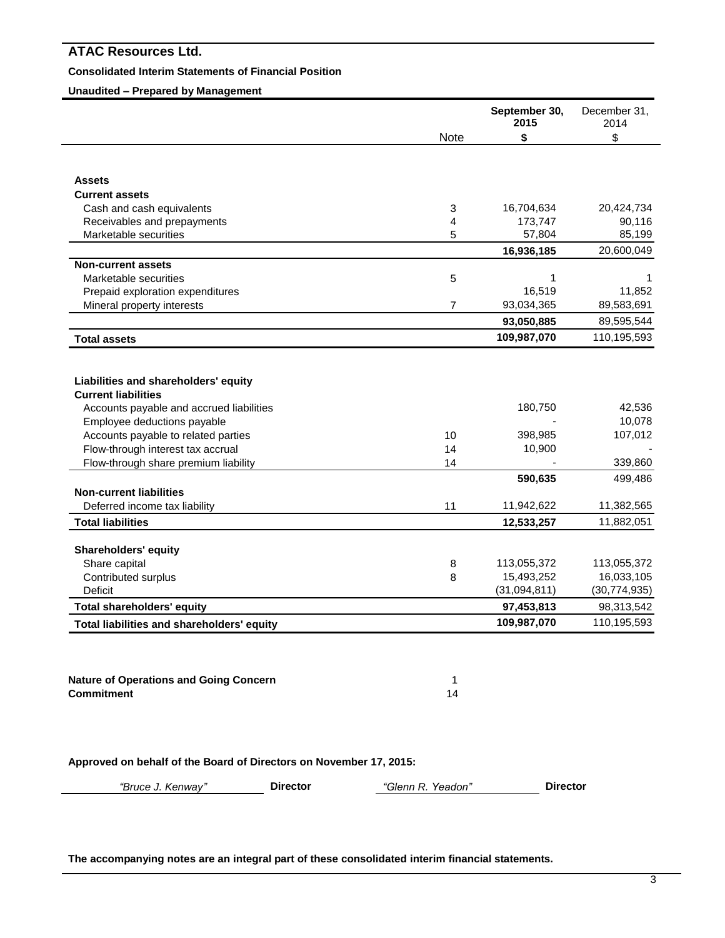# **Consolidated Interim Statements of Financial Position**

# **Unaudited – Prepared by Management**

|                                                                         |                | September 30,<br>2015 | December 31,<br>2014 |
|-------------------------------------------------------------------------|----------------|-----------------------|----------------------|
|                                                                         | Note           | \$                    | \$                   |
| <b>Assets</b>                                                           |                |                       |                      |
| <b>Current assets</b>                                                   |                |                       |                      |
| Cash and cash equivalents                                               | 3              | 16,704,634            | 20,424,734           |
| Receivables and prepayments                                             | 4              | 173,747               | 90,116               |
| Marketable securities                                                   | 5              | 57,804                | 85,199               |
|                                                                         |                | 16,936,185            | 20,600,049           |
| <b>Non-current assets</b>                                               |                |                       |                      |
| Marketable securities                                                   | 5              | 1                     | 1                    |
| Prepaid exploration expenditures                                        |                | 16,519                | 11,852               |
| Mineral property interests                                              | $\overline{7}$ | 93,034,365            | 89,583,691           |
|                                                                         |                | 93,050,885            | 89,595,544           |
| <b>Total assets</b>                                                     |                | 109,987,070           | 110,195,593          |
| Liabilities and shareholders' equity<br><b>Current liabilities</b>      |                |                       |                      |
|                                                                         |                |                       |                      |
| Accounts payable and accrued liabilities<br>Employee deductions payable |                | 180,750               | 42,536<br>10,078     |
| Accounts payable to related parties                                     | 10             | 398,985               | 107,012              |
| Flow-through interest tax accrual                                       | 14             | 10,900                |                      |
| Flow-through share premium liability                                    | 14             |                       | 339,860              |
|                                                                         |                |                       | 499,486              |
| <b>Non-current liabilities</b>                                          |                | 590,635               |                      |
| Deferred income tax liability                                           | 11             | 11,942,622            | 11,382,565           |
| <b>Total liabilities</b>                                                |                | 12,533,257            | 11,882,051           |
|                                                                         |                |                       |                      |
| <b>Shareholders' equity</b>                                             |                |                       |                      |
| Share capital                                                           | 8              | 113,055,372           | 113,055,372          |
| Contributed surplus                                                     | 8              | 15,493,252            | 16,033,105           |
| Deficit                                                                 |                | (31,094,811)          | (30, 774, 935)       |
| <b>Total shareholders' equity</b>                                       |                | 97,453,813            | 98,313,542           |
| Total liabilities and shareholders' equity                              |                | 109,987,070           | 110,195,593          |

**Nature of Operations and Going Concern** 1 **Commitment** 14

**Approved on behalf of the Board of Directors on November 17, 2015:**

*"Bruce J. Kenway"* **Director** *"Glenn R. Yeadon"* **Director**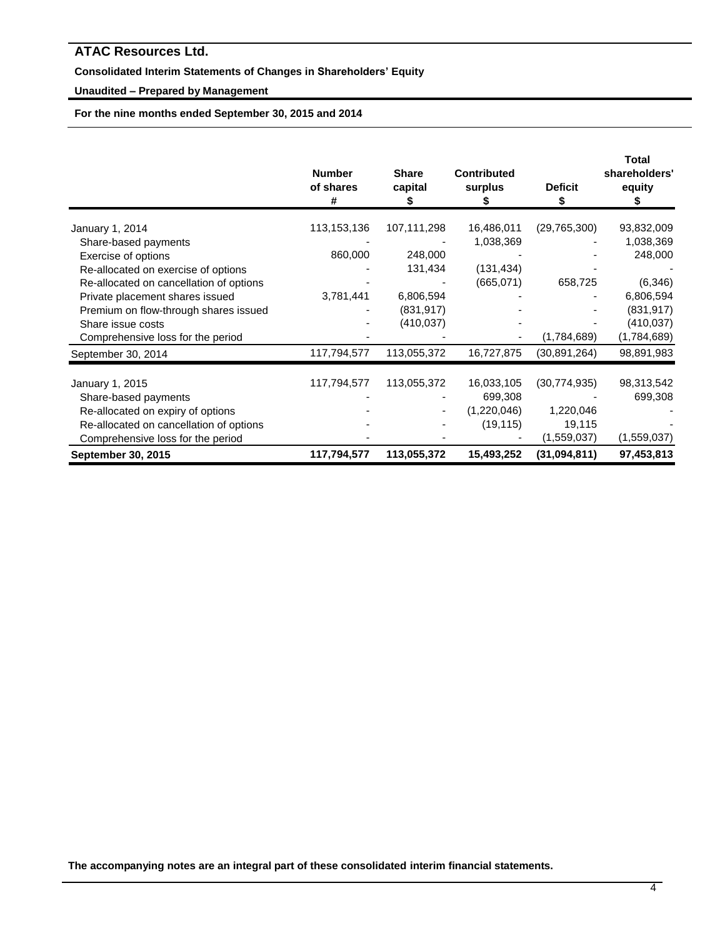# **Consolidated Interim Statements of Changes in Shareholders' Equity**

# **Unaudited – Prepared by Management**

**For the nine months ended September 30, 2015 and 2014**

|                                         | <b>Number</b><br>of shares<br># | <b>Share</b><br>capital<br>5 | <b>Contributed</b><br>surplus | <b>Deficit</b><br>\$ | <b>Total</b><br>shareholders'<br>equity<br>æ. |
|-----------------------------------------|---------------------------------|------------------------------|-------------------------------|----------------------|-----------------------------------------------|
| January 1, 2014                         | 113,153,136                     | 107,111,298                  | 16,486,011                    | (29, 765, 300)       | 93,832,009                                    |
| Share-based payments                    |                                 |                              | 1,038,369                     |                      | 1,038,369                                     |
| Exercise of options                     | 860,000                         | 248,000                      |                               |                      | 248,000                                       |
| Re-allocated on exercise of options     |                                 | 131,434                      | (131, 434)                    |                      |                                               |
| Re-allocated on cancellation of options |                                 |                              | (665,071)                     | 658,725              | (6, 346)                                      |
| Private placement shares issued         | 3,781,441                       | 6,806,594                    |                               |                      | 6,806,594                                     |
| Premium on flow-through shares issued   |                                 | (831, 917)                   |                               |                      | (831, 917)                                    |
| Share issue costs                       |                                 | (410, 037)                   |                               |                      | (410, 037)                                    |
| Comprehensive loss for the period       |                                 |                              |                               | (1,784,689)          | (1,784,689)                                   |
| September 30, 2014                      | 117,794,577                     | 113,055,372                  | 16,727,875                    | (30, 891, 264)       | 98,891,983                                    |
| January 1, 2015                         | 117,794,577                     | 113,055,372                  | 16,033,105                    | (30, 774, 935)       | 98,313,542                                    |
| Share-based payments                    |                                 |                              | 699,308                       |                      | 699,308                                       |
| Re-allocated on expiry of options       |                                 |                              | (1,220,046)                   | 1,220,046            |                                               |
| Re-allocated on cancellation of options |                                 |                              | (19, 115)                     | 19,115               |                                               |
| Comprehensive loss for the period       |                                 |                              |                               | (1,559,037)          | (1,559,037)                                   |
| <b>September 30, 2015</b>               | 117,794,577                     | 113,055,372                  | 15,493,252                    | (31,094,811)         | 97,453,813                                    |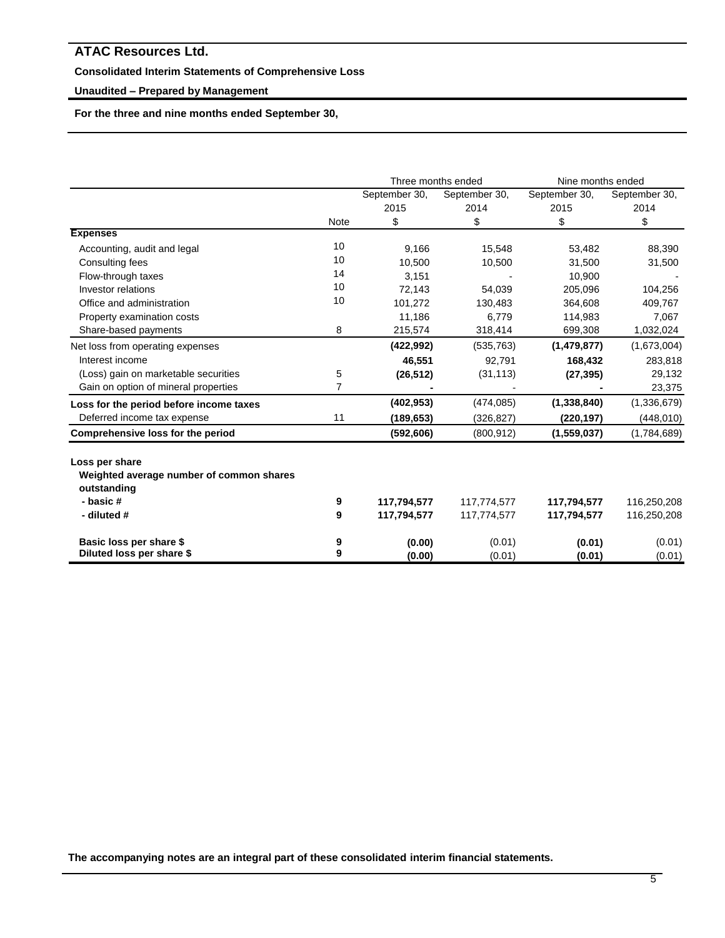# **Consolidated Interim Statements of Comprehensive Loss**

# **Unaudited – Prepared by Management**

**For the three and nine months ended September 30,** 

|                                          |      | Three months ended |               | Nine months ended |               |
|------------------------------------------|------|--------------------|---------------|-------------------|---------------|
|                                          |      | September 30,      | September 30, | September 30,     | September 30, |
|                                          |      | 2015               | 2014          | 2015              | 2014          |
|                                          | Note | \$                 | \$            | \$                | \$            |
| <b>Expenses</b>                          |      |                    |               |                   |               |
| Accounting, audit and legal              | 10   | 9,166              | 15,548        | 53,482            | 88,390        |
| Consulting fees                          | 10   | 10,500             | 10,500        | 31,500            | 31,500        |
| Flow-through taxes                       | 14   | 3,151              |               | 10.900            |               |
| Investor relations                       | 10   | 72,143             | 54,039        | 205,096           | 104,256       |
| Office and administration                | 10   | 101,272            | 130,483       | 364,608           | 409,767       |
| Property examination costs               |      | 11,186             | 6.779         | 114,983           | 7,067         |
| Share-based payments                     | 8    | 215,574            | 318,414       | 699,308           | 1,032,024     |
| Net loss from operating expenses         |      | (422, 992)         | (535, 763)    | (1,479,877)       | (1,673,004)   |
| Interest income                          |      | 46,551             | 92,791        | 168,432           | 283,818       |
| (Loss) gain on marketable securities     | 5    | (26, 512)          | (31, 113)     | (27, 395)         | 29,132        |
| Gain on option of mineral properties     | 7    |                    |               |                   | 23,375        |
| Loss for the period before income taxes  |      | (402, 953)         | (474, 085)    | (1, 338, 840)     | (1,336,679)   |
| Deferred income tax expense              | 11   | (189, 653)         | (326, 827)    | (220,197)         | (448, 010)    |
| Comprehensive loss for the period        |      | (592, 606)         | (800, 912)    | (1,559,037)       | (1,784,689)   |
| Loss per share                           |      |                    |               |                   |               |
| Weighted average number of common shares |      |                    |               |                   |               |
| outstanding                              |      |                    |               |                   |               |
| - basic #                                | 9    | 117,794,577        | 117,774,577   | 117,794,577       | 116,250,208   |
| - diluted #                              | 9    | 117,794,577        | 117,774,577   | 117,794,577       | 116,250,208   |
|                                          |      |                    |               |                   |               |
| Basic loss per share \$                  | 9    | (0.00)             | (0.01)        | (0.01)            | (0.01)        |
| Diluted loss per share \$                | 9    | (0.00)             | (0.01)        | (0.01)            | (0.01)        |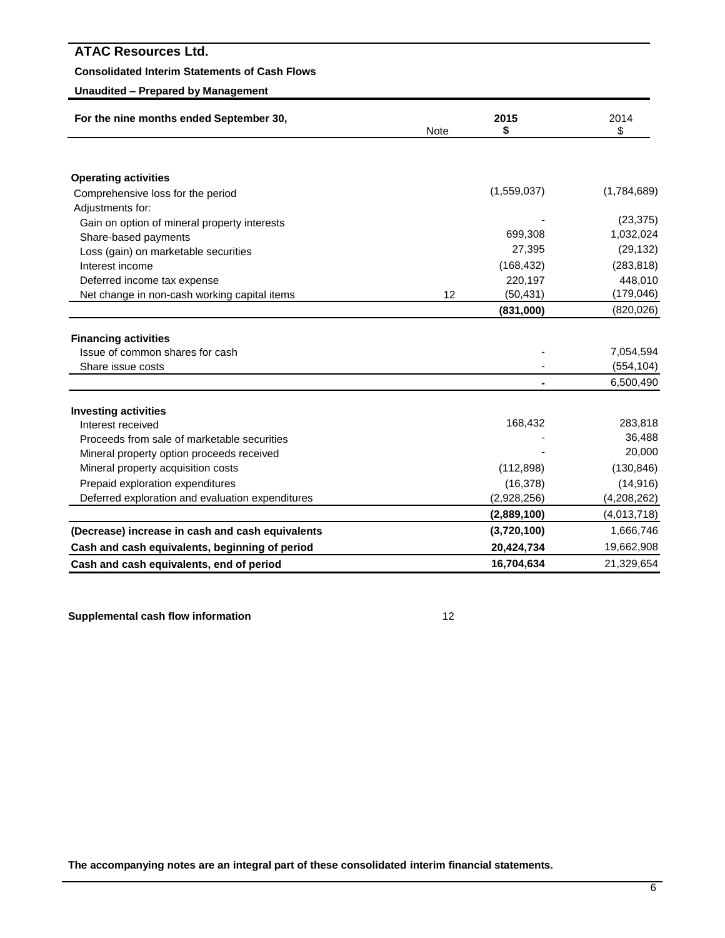# **Consolidated Interim Statements of Cash Flows**

# **Unaudited – Prepared by Management**

| For the nine months ended September 30,          | Note | 2015<br>\$  | 2014<br>\$  |  |
|--------------------------------------------------|------|-------------|-------------|--|
|                                                  |      |             |             |  |
| <b>Operating activities</b>                      |      |             |             |  |
| Comprehensive loss for the period                |      | (1,559,037) | (1,784,689) |  |
| Adjustments for:                                 |      |             |             |  |
| Gain on option of mineral property interests     |      |             | (23, 375)   |  |
| Share-based payments                             |      | 699,308     | 1,032,024   |  |
| Loss (gain) on marketable securities             |      | 27,395      | (29, 132)   |  |
| Interest income                                  |      | (168, 432)  | (283, 818)  |  |
| Deferred income tax expense                      |      | 220,197     | 448,010     |  |
| Net change in non-cash working capital items     | 12   | (50, 431)   | (179, 046)  |  |
|                                                  |      | (831,000)   | (820, 026)  |  |
|                                                  |      |             |             |  |
| <b>Financing activities</b>                      |      |             |             |  |
| Issue of common shares for cash                  |      |             | 7,054,594   |  |
| Share issue costs                                |      |             | (554, 104)  |  |
|                                                  |      |             | 6,500,490   |  |
| <b>Investing activities</b>                      |      |             |             |  |
| Interest received                                |      | 168,432     | 283,818     |  |
| Proceeds from sale of marketable securities      |      |             | 36,488      |  |
| Mineral property option proceeds received        |      |             | 20,000      |  |
| Mineral property acquisition costs               |      | (112, 898)  | (130, 846)  |  |
| Prepaid exploration expenditures                 |      | (16, 378)   | (14, 916)   |  |
| Deferred exploration and evaluation expenditures |      | (2,928,256) | (4,208,262) |  |
|                                                  |      | (2,889,100) | (4,013,718) |  |
| (Decrease) increase in cash and cash equivalents |      | (3,720,100) | 1,666,746   |  |
| Cash and cash equivalents, beginning of period   |      | 20,424,734  | 19,662,908  |  |
| Cash and cash equivalents, end of period         |      | 16,704,634  | 21,329,654  |  |

**Supplemental cash flow information** 12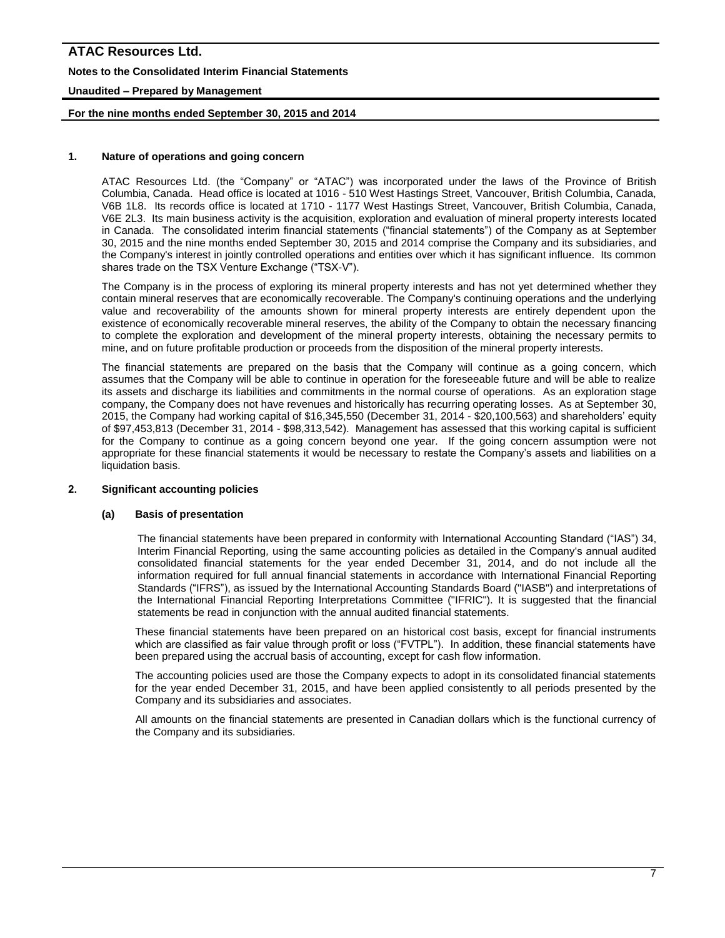# **ATAC Resources Ltd. Notes to the Consolidated Interim Financial Statements Unaudited – Prepared by Management**

# **For the nine months ended September 30, 2015 and 2014**

# **1. Nature of operations and going concern**

ATAC Resources Ltd. (the "Company" or "ATAC") was incorporated under the laws of the Province of British Columbia, Canada. Head office is located at 1016 - 510 West Hastings Street, Vancouver, British Columbia, Canada, V6B 1L8. Its records office is located at 1710 - 1177 West Hastings Street, Vancouver, British Columbia, Canada, V6E 2L3. Its main business activity is the acquisition, exploration and evaluation of mineral property interests located in Canada. The consolidated interim financial statements ("financial statements") of the Company as at September 30, 2015 and the nine months ended September 30, 2015 and 2014 comprise the Company and its subsidiaries, and the Company's interest in jointly controlled operations and entities over which it has significant influence. Its common shares trade on the TSX Venture Exchange ("TSX-V").

The Company is in the process of exploring its mineral property interests and has not yet determined whether they contain mineral reserves that are economically recoverable. The Company's continuing operations and the underlying value and recoverability of the amounts shown for mineral property interests are entirely dependent upon the existence of economically recoverable mineral reserves, the ability of the Company to obtain the necessary financing to complete the exploration and development of the mineral property interests, obtaining the necessary permits to mine, and on future profitable production or proceeds from the disposition of the mineral property interests.

The financial statements are prepared on the basis that the Company will continue as a going concern, which assumes that the Company will be able to continue in operation for the foreseeable future and will be able to realize its assets and discharge its liabilities and commitments in the normal course of operations. As an exploration stage company, the Company does not have revenues and historically has recurring operating losses. As at September 30, 2015, the Company had working capital of \$16,345,550 (December 31, 2014 - \$20,100,563) and shareholders' equity of \$97,453,813 (December 31, 2014 - \$98,313,542). Management has assessed that this working capital is sufficient for the Company to continue as a going concern beyond one year. If the going concern assumption were not appropriate for these financial statements it would be necessary to restate the Company's assets and liabilities on a liquidation basis.

# **2. Significant accounting policies**

### **(a) Basis of presentation**

The financial statements have been prepared in conformity with International Accounting Standard ("IAS") 34, Interim Financial Reporting*,* using the same accounting policies as detailed in the Company's annual audited consolidated financial statements for the year ended December 31, 2014, and do not include all the information required for full annual financial statements in accordance with International Financial Reporting Standards ("IFRS"), as issued by the International Accounting Standards Board ("IASB") and interpretations of the International Financial Reporting Interpretations Committee ("IFRIC"). It is suggested that the financial statements be read in conjunction with the annual audited financial statements.

These financial statements have been prepared on an historical cost basis, except for financial instruments which are classified as fair value through profit or loss ("FVTPL"). In addition, these financial statements have been prepared using the accrual basis of accounting, except for cash flow information.

The accounting policies used are those the Company expects to adopt in its consolidated financial statements for the year ended December 31, 2015, and have been applied consistently to all periods presented by the Company and its subsidiaries and associates.

All amounts on the financial statements are presented in Canadian dollars which is the functional currency of the Company and its subsidiaries.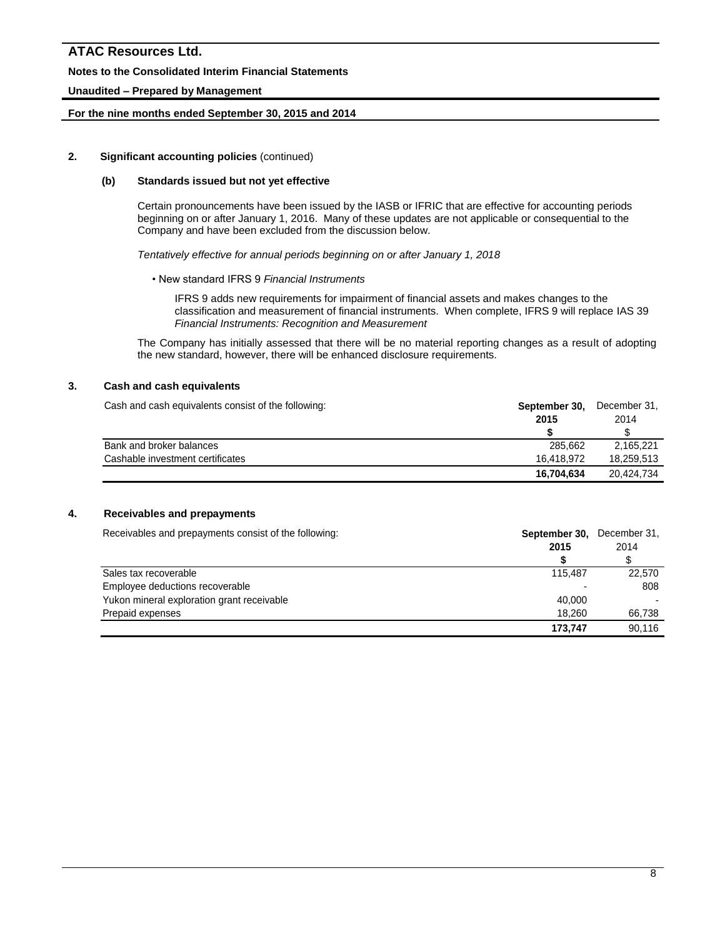### **Notes to the Consolidated Interim Financial Statements**

### **Unaudited – Prepared by Management**

### **For the nine months ended September 30, 2015 and 2014**

### **2. Significant accounting policies** (continued)

### **(b) Standards issued but not yet effective**

Certain pronouncements have been issued by the IASB or IFRIC that are effective for accounting periods beginning on or after January 1, 2016. Many of these updates are not applicable or consequential to the Company and have been excluded from the discussion below.

*Tentatively effective for annual periods beginning on or after January 1, 2018*

• New standard IFRS 9 *Financial Instruments*

IFRS 9 adds new requirements for impairment of financial assets and makes changes to the classification and measurement of financial instruments. When complete, IFRS 9 will replace IAS 39 *Financial Instruments: Recognition and Measurement*

The Company has initially assessed that there will be no material reporting changes as a result of adopting the new standard, however, there will be enhanced disclosure requirements.

## **3. Cash and cash equivalents**

Cash and cash equivalents consist of the following: **September 30, December 31, Cash and cash equivalents consist of the following:** 

|                                  | 2015       | 2014       |
|----------------------------------|------------|------------|
|                                  |            |            |
| Bank and broker balances         | 285.662    | 2.165.221  |
| Cashable investment certificates | 16.418.972 | 18.259.513 |
|                                  | 16.704.634 | 20,424,734 |

# **4. Receivables and prepayments**

Receivables and prepayments consist of the following:<br>**September 30**, December 31, December 31, Receivable 31, September 30, December 31, September 31, September 31, September 31, September 31, September 31, September 31,

|                                            | ____________ |        |  |  |  |
|--------------------------------------------|--------------|--------|--|--|--|
|                                            | 2015         | 2014   |  |  |  |
|                                            |              |        |  |  |  |
| Sales tax recoverable                      | 115.487      | 22,570 |  |  |  |
| Employee deductions recoverable            | -            | 808    |  |  |  |
| Yukon mineral exploration grant receivable | 40.000       |        |  |  |  |
| Prepaid expenses                           | 18.260       | 66,738 |  |  |  |
|                                            | 173.747      | 90.116 |  |  |  |
|                                            |              |        |  |  |  |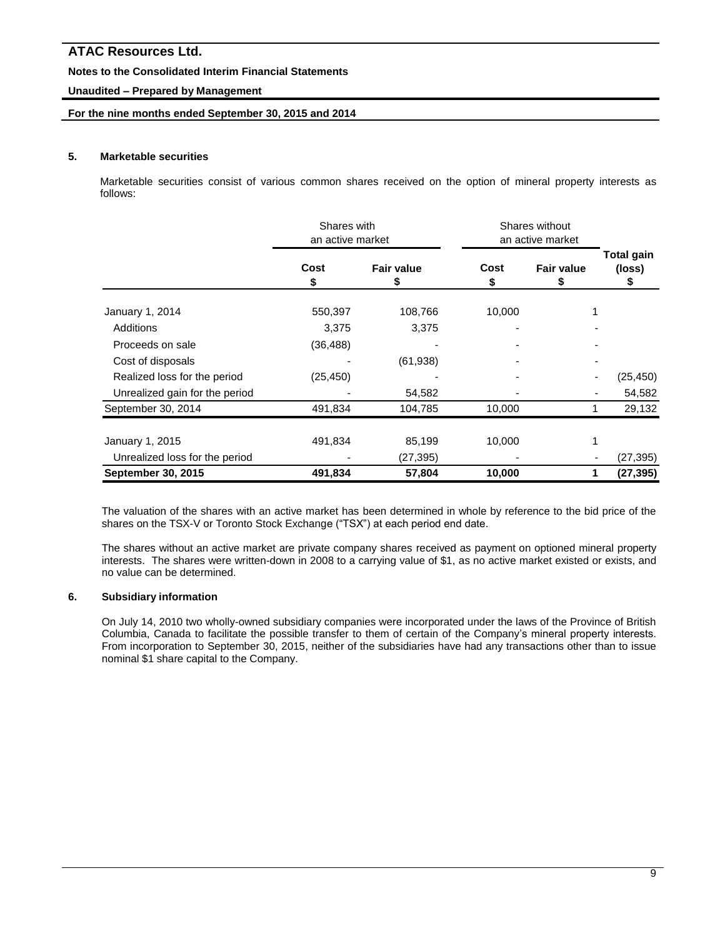### **Notes to the Consolidated Interim Financial Statements**

### **Unaudited – Prepared by Management**

### **For the nine months ended September 30, 2015 and 2014**

### **5. Marketable securities**

Marketable securities consist of various common shares received on the option of mineral property interests as follows:

|                                | Shares with<br>an active market |                   | Shares without<br>an active market |                         |                      |  |
|--------------------------------|---------------------------------|-------------------|------------------------------------|-------------------------|----------------------|--|
|                                | Cost<br>\$                      | <b>Fair value</b> | Cost<br>\$                         | <b>Fair value</b><br>\$ | Total gain<br>(loss) |  |
| January 1, 2014                | 550,397                         | 108,766           | 10,000                             |                         |                      |  |
| Additions                      | 3,375                           | 3,375             |                                    |                         |                      |  |
| Proceeds on sale               | (36, 488)                       |                   |                                    |                         |                      |  |
| Cost of disposals              |                                 | (61, 938)         |                                    |                         |                      |  |
| Realized loss for the period   | (25, 450)                       |                   |                                    |                         | (25, 450)            |  |
| Unrealized gain for the period |                                 | 54,582            |                                    |                         | 54,582               |  |
| September 30, 2014             | 491,834                         | 104,785           | 10,000                             |                         | 29,132               |  |
| January 1, 2015                | 491,834                         | 85,199            | 10,000                             |                         |                      |  |
| Unrealized loss for the period |                                 | (27, 395)         |                                    |                         | (27, 395)            |  |
| <b>September 30, 2015</b>      | 491,834                         | 57,804            | 10,000                             |                         | (27, 395)            |  |

The valuation of the shares with an active market has been determined in whole by reference to the bid price of the shares on the TSX-V or Toronto Stock Exchange ("TSX") at each period end date.

The shares without an active market are private company shares received as payment on optioned mineral property interests. The shares were written-down in 2008 to a carrying value of \$1, as no active market existed or exists, and no value can be determined.

### **6. Subsidiary information**

On July 14, 2010 two wholly-owned subsidiary companies were incorporated under the laws of the Province of British Columbia, Canada to facilitate the possible transfer to them of certain of the Company's mineral property interests. From incorporation to September 30, 2015, neither of the subsidiaries have had any transactions other than to issue nominal \$1 share capital to the Company.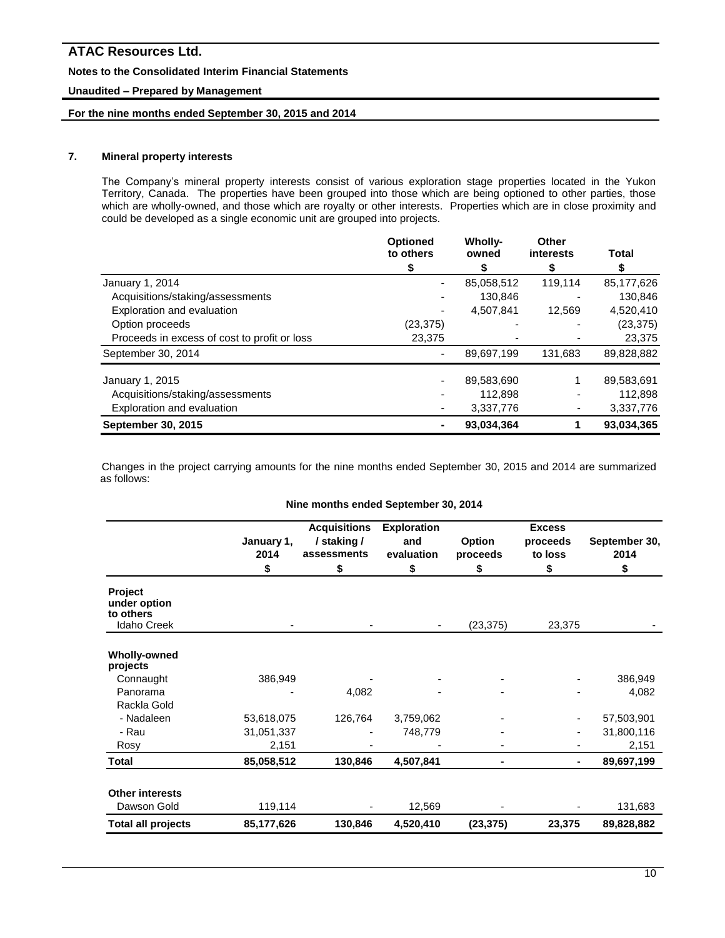### **Notes to the Consolidated Interim Financial Statements**

### **Unaudited – Prepared by Management**

# **For the nine months ended September 30, 2015 and 2014**

# **7. Mineral property interests**

The Company's mineral property interests consist of various exploration stage properties located in the Yukon Territory, Canada. The properties have been grouped into those which are being optioned to other parties, those which are wholly-owned, and those which are royalty or other interests. Properties which are in close proximity and could be developed as a single economic unit are grouped into projects.

|                                              | <b>Optioned</b><br>to others | <b>Wholly-</b><br>owned | Other<br>interests | Total      |
|----------------------------------------------|------------------------------|-------------------------|--------------------|------------|
|                                              | S                            |                         | S                  |            |
| January 1, 2014                              |                              | 85,058,512              | 119,114            | 85,177,626 |
| Acquisitions/staking/assessments             |                              | 130.846                 |                    | 130,846    |
| Exploration and evaluation                   |                              | 4,507,841               | 12,569             | 4,520,410  |
| Option proceeds                              | (23, 375)                    |                         |                    | (23, 375)  |
| Proceeds in excess of cost to profit or loss | 23,375                       |                         |                    | 23,375     |
| September 30, 2014                           |                              | 89,697,199              | 131,683            | 89,828,882 |
| January 1, 2015                              |                              | 89,583,690              |                    | 89,583,691 |
| Acquisitions/staking/assessments             |                              | 112,898                 |                    | 112,898    |
| Exploration and evaluation                   |                              | 3,337,776               |                    | 3,337,776  |
| <b>September 30, 2015</b>                    |                              | 93,034,364              |                    | 93.034,365 |

Changes in the project carrying amounts for the nine months ended September 30, 2015 and 2014 are summarized as follows:

#### **Nine months ended September 30, 2014**

|                                                            | January 1,<br>2014<br>\$ | <b>Acquisitions</b><br>/ staking /<br>assessments<br>\$ | <b>Exploration</b><br>and<br>evaluation<br>\$ | Option<br>proceeds<br>\$ | <b>Excess</b><br>proceeds<br>to loss<br>\$ | September 30,<br>2014<br>\$ |
|------------------------------------------------------------|--------------------------|---------------------------------------------------------|-----------------------------------------------|--------------------------|--------------------------------------------|-----------------------------|
| Project<br>under option<br>to others<br><b>Idaho Creek</b> |                          |                                                         |                                               | (23, 375)                | 23,375                                     |                             |
| <b>Wholly-owned</b><br>projects                            |                          |                                                         |                                               |                          |                                            |                             |
| Connaught                                                  | 386,949                  |                                                         |                                               |                          |                                            | 386,949                     |
| Panorama                                                   |                          | 4,082                                                   |                                               |                          |                                            | 4,082                       |
| Rackla Gold                                                |                          |                                                         |                                               |                          |                                            |                             |
| - Nadaleen                                                 | 53,618,075               | 126,764                                                 | 3,759,062                                     |                          |                                            | 57,503,901                  |
| - Rau                                                      | 31,051,337               |                                                         | 748,779                                       |                          |                                            | 31,800,116                  |
| Rosy                                                       | 2,151                    |                                                         |                                               |                          |                                            | 2,151                       |
| <b>Total</b>                                               | 85,058,512               | 130,846                                                 | 4,507,841                                     |                          | $\blacksquare$                             | 89,697,199                  |
| <b>Other interests</b><br>Dawson Gold                      | 119,114                  |                                                         | 12,569                                        |                          |                                            | 131,683                     |
| <b>Total all projects</b>                                  | 85,177,626               | 130,846                                                 | 4,520,410                                     | (23, 375)                | 23,375                                     | 89,828,882                  |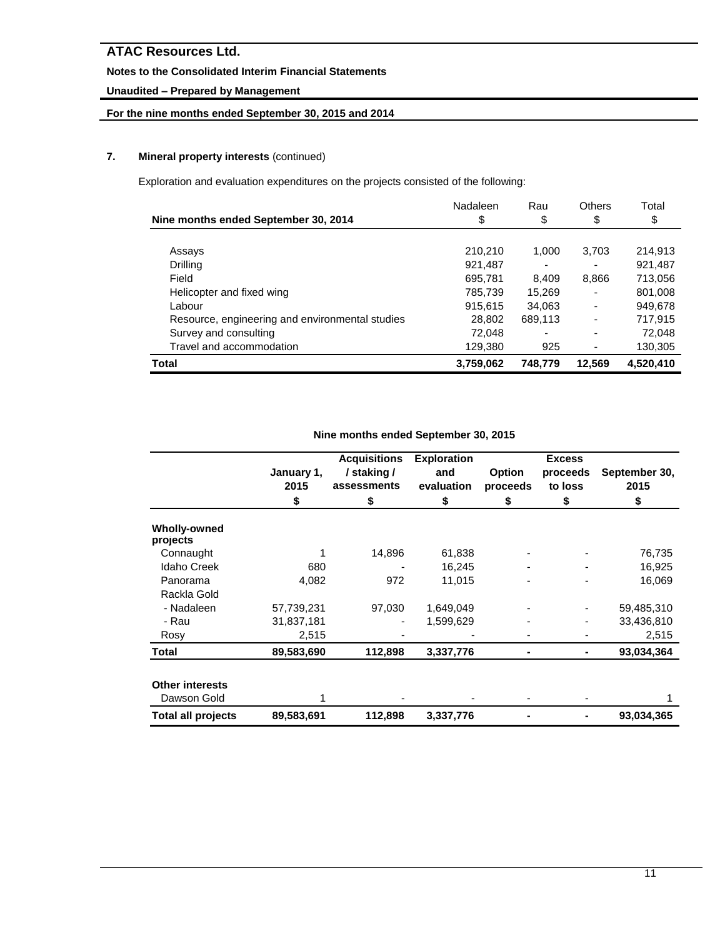# **Notes to the Consolidated Interim Financial Statements**

# **Unaudited – Prepared by Management**

# **For the nine months ended September 30, 2015 and 2014**

# **7. Mineral property interests** (continued)

Exploration and evaluation expenditures on the projects consisted of the following:

|                                                 | Nadaleen  | Rau     | <b>Others</b>            | Total     |
|-------------------------------------------------|-----------|---------|--------------------------|-----------|
| Nine months ended September 30, 2014            | \$        | \$      | \$                       | \$        |
|                                                 |           |         |                          |           |
| Assays                                          | 210,210   | 1.000   | 3,703                    | 214,913   |
| Drilling                                        | 921.487   | -       |                          | 921,487   |
| Field                                           | 695,781   | 8.409   | 8,866                    | 713,056   |
| Helicopter and fixed wing                       | 785,739   | 15.269  |                          | 801,008   |
| Labour                                          | 915,615   | 34,063  | $\overline{\phantom{0}}$ | 949,678   |
| Resource, engineering and environmental studies | 28,802    | 689,113 | $\overline{\phantom{0}}$ | 717,915   |
| Survey and consulting                           | 72,048    | -       | -                        | 72,048    |
| Travel and accommodation                        | 129,380   | 925     |                          | 130,305   |
| Total                                           | 3,759,062 | 748.779 | 12,569                   | 4,520,410 |

|                                       | January 1,<br>2015 | <b>Acquisitions</b><br>/ staking /<br>assessments | <b>Exploration</b><br>and<br>evaluation | <b>Option</b><br>proceeds | <b>Excess</b><br>proceeds<br>to loss | September 30,<br>2015 |
|---------------------------------------|--------------------|---------------------------------------------------|-----------------------------------------|---------------------------|--------------------------------------|-----------------------|
|                                       | \$                 | \$                                                | \$                                      | \$                        | \$                                   | \$                    |
| <b>Wholly-owned</b><br>projects       |                    |                                                   |                                         |                           |                                      |                       |
| Connaught                             |                    | 14,896                                            | 61,838                                  |                           |                                      | 76,735                |
| <b>Idaho Creek</b>                    | 680                |                                                   | 16,245                                  |                           |                                      | 16,925                |
| Panorama                              | 4,082              | 972                                               | 11,015                                  |                           |                                      | 16,069                |
| Rackla Gold                           |                    |                                                   |                                         |                           |                                      |                       |
| - Nadaleen                            | 57,739,231         | 97,030                                            | 1,649,049                               |                           |                                      | 59,485,310            |
| - Rau                                 | 31,837,181         |                                                   | 1,599,629                               |                           |                                      | 33,436,810            |
| Rosy                                  | 2,515              |                                                   |                                         |                           |                                      | 2,515                 |
| Total                                 | 89,583,690         | 112,898                                           | 3,337,776                               |                           |                                      | 93,034,364            |
| <b>Other interests</b><br>Dawson Gold |                    |                                                   |                                         |                           |                                      |                       |
| <b>Total all projects</b>             | 89,583,691         | 112,898                                           | 3,337,776                               |                           |                                      | 93,034,365            |

### **Nine months ended September 30, 2015**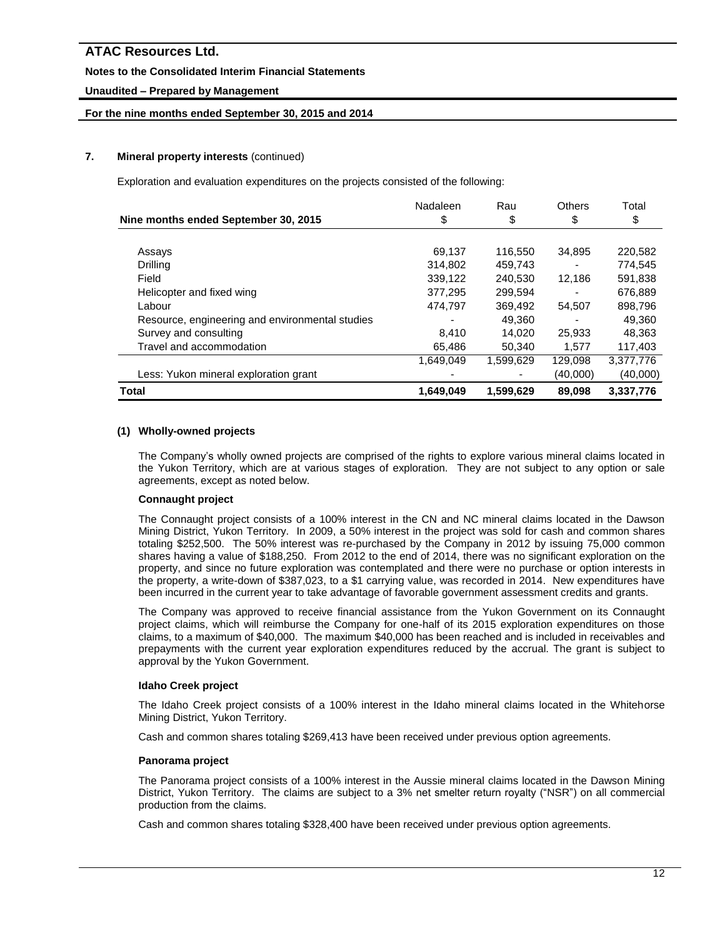# **Notes to the Consolidated Interim Financial Statements**

# **Unaudited – Prepared by Management**

# **For the nine months ended September 30, 2015 and 2014**

# **7. Mineral property interests** (continued)

Exploration and evaluation expenditures on the projects consisted of the following:

|                                                 | Nadaleen  | Rau       | <b>Others</b> | Total     |
|-------------------------------------------------|-----------|-----------|---------------|-----------|
| Nine months ended September 30, 2015            | \$        | \$        | \$            | \$        |
|                                                 |           |           |               |           |
| Assays                                          | 69,137    | 116,550   | 34,895        | 220,582   |
| Drilling                                        | 314,802   | 459,743   |               | 774,545   |
| Field                                           | 339,122   | 240,530   | 12,186        | 591,838   |
| Helicopter and fixed wing                       | 377,295   | 299.594   |               | 676.889   |
| Labour                                          | 474,797   | 369,492   | 54,507        | 898,796   |
| Resource, engineering and environmental studies |           | 49.360    |               | 49,360    |
| Survey and consulting                           | 8.410     | 14.020    | 25,933        | 48.363    |
| Travel and accommodation                        | 65,486    | 50,340    | 1,577         | 117,403   |
|                                                 | 1,649,049 | 1,599,629 | 129,098       | 3,377,776 |
| Less: Yukon mineral exploration grant           |           |           | (40,000)      | (40,000)  |
| Total                                           | 1,649,049 | 1,599,629 | 89,098        | 3,337,776 |

### **(1) Wholly-owned projects**

The Company's wholly owned projects are comprised of the rights to explore various mineral claims located in the Yukon Territory, which are at various stages of exploration. They are not subject to any option or sale agreements, except as noted below.

# **Connaught project**

The Connaught project consists of a 100% interest in the CN and NC mineral claims located in the Dawson Mining District, Yukon Territory. In 2009, a 50% interest in the project was sold for cash and common shares totaling \$252,500. The 50% interest was re-purchased by the Company in 2012 by issuing 75,000 common shares having a value of \$188,250. From 2012 to the end of 2014, there was no significant exploration on the property, and since no future exploration was contemplated and there were no purchase or option interests in the property, a write-down of \$387,023, to a \$1 carrying value, was recorded in 2014. New expenditures have been incurred in the current year to take advantage of favorable government assessment credits and grants.

The Company was approved to receive financial assistance from the Yukon Government on its Connaught project claims, which will reimburse the Company for one-half of its 2015 exploration expenditures on those claims, to a maximum of \$40,000. The maximum \$40,000 has been reached and is included in receivables and prepayments with the current year exploration expenditures reduced by the accrual. The grant is subject to approval by the Yukon Government.

### **Idaho Creek project**

The Idaho Creek project consists of a 100% interest in the Idaho mineral claims located in the Whitehorse Mining District, Yukon Territory.

Cash and common shares totaling \$269,413 have been received under previous option agreements.

# **Panorama project**

The Panorama project consists of a 100% interest in the Aussie mineral claims located in the Dawson Mining District, Yukon Territory. The claims are subject to a 3% net smelter return royalty ("NSR") on all commercial production from the claims.

Cash and common shares totaling \$328,400 have been received under previous option agreements.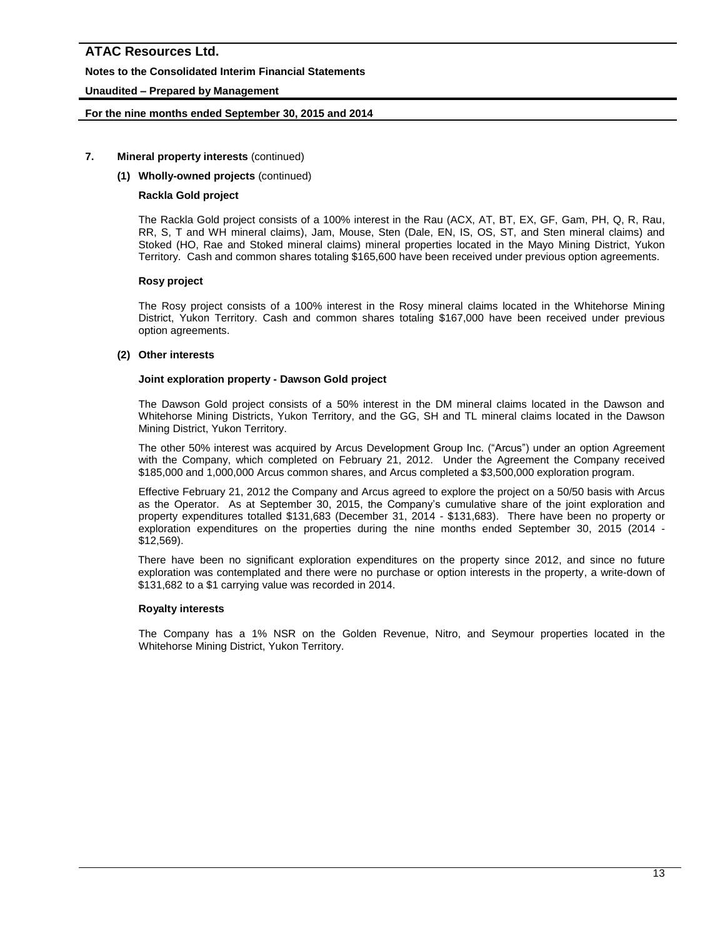# **Notes to the Consolidated Interim Financial Statements**

# **Unaudited – Prepared by Management**

### **For the nine months ended September 30, 2015 and 2014**

### **7. Mineral property interests** (continued)

### **(1) Wholly-owned projects** (continued)

### **Rackla Gold project**

The Rackla Gold project consists of a 100% interest in the Rau (ACX, AT, BT, EX, GF, Gam, PH, Q, R, Rau, RR, S, T and WH mineral claims), Jam, Mouse, Sten (Dale, EN, IS, OS, ST, and Sten mineral claims) and Stoked (HO, Rae and Stoked mineral claims) mineral properties located in the Mayo Mining District, Yukon Territory. Cash and common shares totaling \$165,600 have been received under previous option agreements.

### **Rosy project**

The Rosy project consists of a 100% interest in the Rosy mineral claims located in the Whitehorse Mining District, Yukon Territory. Cash and common shares totaling \$167,000 have been received under previous option agreements.

### **(2) Other interests**

### **Joint exploration property - Dawson Gold project**

The Dawson Gold project consists of a 50% interest in the DM mineral claims located in the Dawson and Whitehorse Mining Districts, Yukon Territory, and the GG, SH and TL mineral claims located in the Dawson Mining District, Yukon Territory.

The other 50% interest was acquired by Arcus Development Group Inc. ("Arcus") under an option Agreement with the Company, which completed on February 21, 2012. Under the Agreement the Company received \$185,000 and 1,000,000 Arcus common shares, and Arcus completed a \$3,500,000 exploration program.

Effective February 21, 2012 the Company and Arcus agreed to explore the project on a 50/50 basis with Arcus as the Operator. As at September 30, 2015, the Company's cumulative share of the joint exploration and property expenditures totalled \$131,683 (December 31, 2014 - \$131,683). There have been no property or exploration expenditures on the properties during the nine months ended September 30, 2015 (2014 - \$12,569).

There have been no significant exploration expenditures on the property since 2012, and since no future exploration was contemplated and there were no purchase or option interests in the property, a write-down of \$131,682 to a \$1 carrying value was recorded in 2014.

### **Royalty interests**

The Company has a 1% NSR on the Golden Revenue, Nitro, and Seymour properties located in the Whitehorse Mining District, Yukon Territory.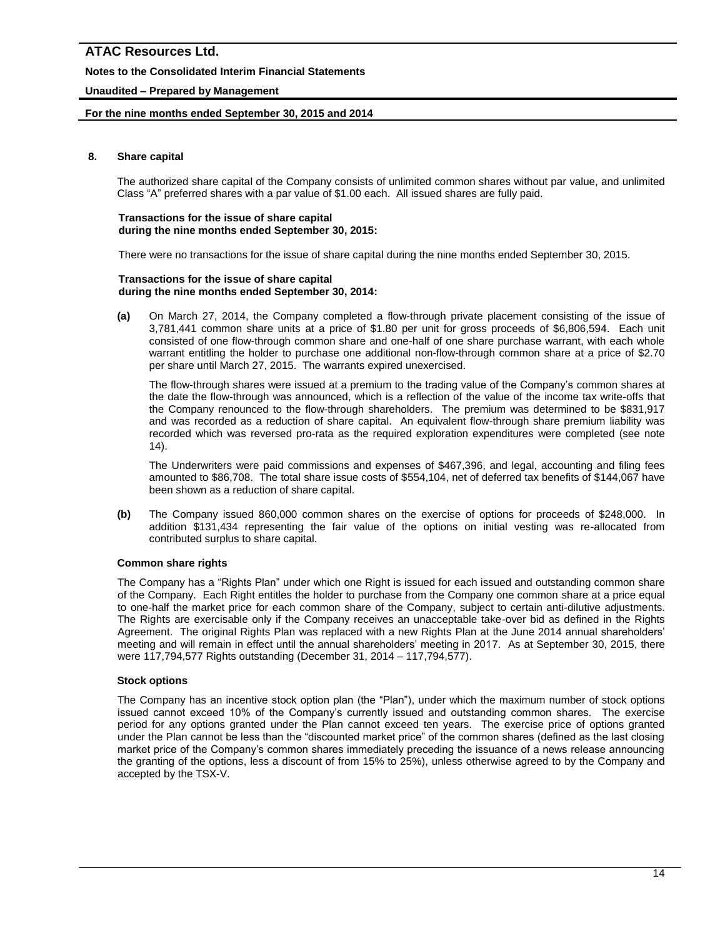# **Notes to the Consolidated Interim Financial Statements**

# **Unaudited – Prepared by Management**

### **For the nine months ended September 30, 2015 and 2014**

### **8. Share capital**

The authorized share capital of the Company consists of unlimited common shares without par value, and unlimited Class "A" preferred shares with a par value of \$1.00 each. All issued shares are fully paid.

#### **Transactions for the issue of share capital during the nine months ended September 30, 2015:**

There were no transactions for the issue of share capital during the nine months ended September 30, 2015.

#### **Transactions for the issue of share capital during the nine months ended September 30, 2014:**

**(a)** On March 27, 2014, the Company completed a flow-through private placement consisting of the issue of 3,781,441 common share units at a price of \$1.80 per unit for gross proceeds of \$6,806,594. Each unit consisted of one flow-through common share and one-half of one share purchase warrant, with each whole warrant entitling the holder to purchase one additional non-flow-through common share at a price of \$2.70 per share until March 27, 2015. The warrants expired unexercised.

The flow-through shares were issued at a premium to the trading value of the Company's common shares at the date the flow-through was announced, which is a reflection of the value of the income tax write-offs that the Company renounced to the flow-through shareholders. The premium was determined to be \$831,917 and was recorded as a reduction of share capital. An equivalent flow-through share premium liability was recorded which was reversed pro-rata as the required exploration expenditures were completed (see note 14).

The Underwriters were paid commissions and expenses of \$467,396, and legal, accounting and filing fees amounted to \$86,708. The total share issue costs of \$554,104, net of deferred tax benefits of \$144,067 have been shown as a reduction of share capital.

**(b)** The Company issued 860,000 common shares on the exercise of options for proceeds of \$248,000. In addition \$131,434 representing the fair value of the options on initial vesting was re-allocated from contributed surplus to share capital.

### **Common share rights**

The Company has a "Rights Plan" under which one Right is issued for each issued and outstanding common share of the Company. Each Right entitles the holder to purchase from the Company one common share at a price equal to one-half the market price for each common share of the Company, subject to certain anti-dilutive adjustments. The Rights are exercisable only if the Company receives an unacceptable take-over bid as defined in the Rights Agreement. The original Rights Plan was replaced with a new Rights Plan at the June 2014 annual shareholders' meeting and will remain in effect until the annual shareholders' meeting in 2017. As at September 30, 2015, there were 117,794,577 Rights outstanding (December 31, 2014 – 117,794,577).

### **Stock options**

The Company has an incentive stock option plan (the "Plan"), under which the maximum number of stock options issued cannot exceed 10% of the Company's currently issued and outstanding common shares. The exercise period for any options granted under the Plan cannot exceed ten years. The exercise price of options granted under the Plan cannot be less than the "discounted market price" of the common shares (defined as the last closing market price of the Company's common shares immediately preceding the issuance of a news release announcing the granting of the options, less a discount of from 15% to 25%), unless otherwise agreed to by the Company and accepted by the TSX-V.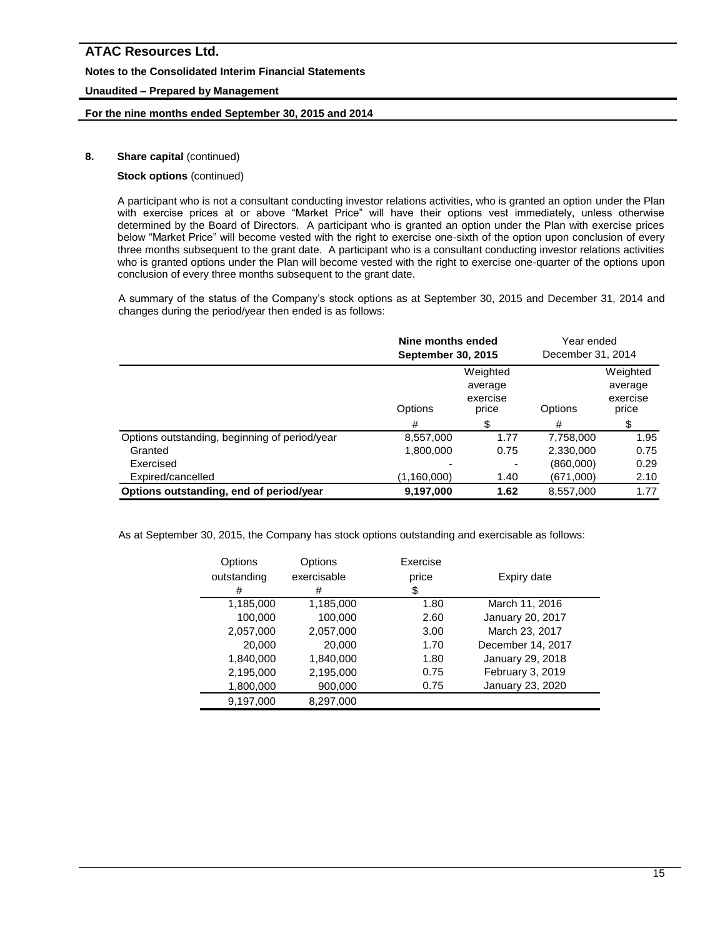### **Notes to the Consolidated Interim Financial Statements**

# **Unaudited – Prepared by Management**

### **For the nine months ended September 30, 2015 and 2014**

# **8.** Share capital (continued)

### **Stock options** (continued)

A participant who is not a consultant conducting investor relations activities, who is granted an option under the Plan with exercise prices at or above "Market Price" will have their options vest immediately, unless otherwise determined by the Board of Directors. A participant who is granted an option under the Plan with exercise prices below "Market Price" will become vested with the right to exercise one-sixth of the option upon conclusion of every three months subsequent to the grant date. A participant who is a consultant conducting investor relations activities who is granted options under the Plan will become vested with the right to exercise one-quarter of the options upon conclusion of every three months subsequent to the grant date.

A summary of the status of the Company's stock options as at September 30, 2015 and December 31, 2014 and changes during the period/year then ended is as follows:

|                                               | Nine months ended<br><b>September 30, 2015</b>      |      | Year ended<br>December 31, 2014 |                                          |
|-----------------------------------------------|-----------------------------------------------------|------|---------------------------------|------------------------------------------|
|                                               | Weighted<br>average<br>exercise<br>Options<br>price |      | Options                         | Weighted<br>average<br>exercise<br>price |
|                                               | #                                                   | \$   | #                               | \$                                       |
| Options outstanding, beginning of period/year | 8,557,000                                           | 1.77 | 7,758,000                       | 1.95                                     |
| Granted                                       | 1,800,000                                           | 0.75 | 2,330,000                       | 0.75                                     |
| Exercised                                     |                                                     |      | (860,000)                       | 0.29                                     |
| Expired/cancelled                             | (1,160,000)                                         | 1.40 | (671,000)                       | 2.10                                     |
| Options outstanding, end of period/year       | 9,197,000                                           | 1.62 | 8,557,000                       | 1.77                                     |

As at September 30, 2015, the Company has stock options outstanding and exercisable as follows:

| Options<br>outstanding<br># | Options<br>exercisable<br># | Exercise<br>price<br>\$ | Expiry date       |
|-----------------------------|-----------------------------|-------------------------|-------------------|
| 1,185,000                   | 1,185,000                   | 1.80                    | March 11, 2016    |
| 100,000                     | 100,000                     | 2.60                    | January 20, 2017  |
| 2,057,000                   | 2,057,000                   | 3.00                    | March 23, 2017    |
| 20,000                      | 20,000                      | 1.70                    | December 14, 2017 |
| 1,840,000                   | 1,840,000                   | 1.80                    | January 29, 2018  |
| 2,195,000                   | 2,195,000                   | 0.75                    | February 3, 2019  |
| 1,800,000                   | 900,000                     | 0.75                    | January 23, 2020  |
| 9,197,000                   | 8,297,000                   |                         |                   |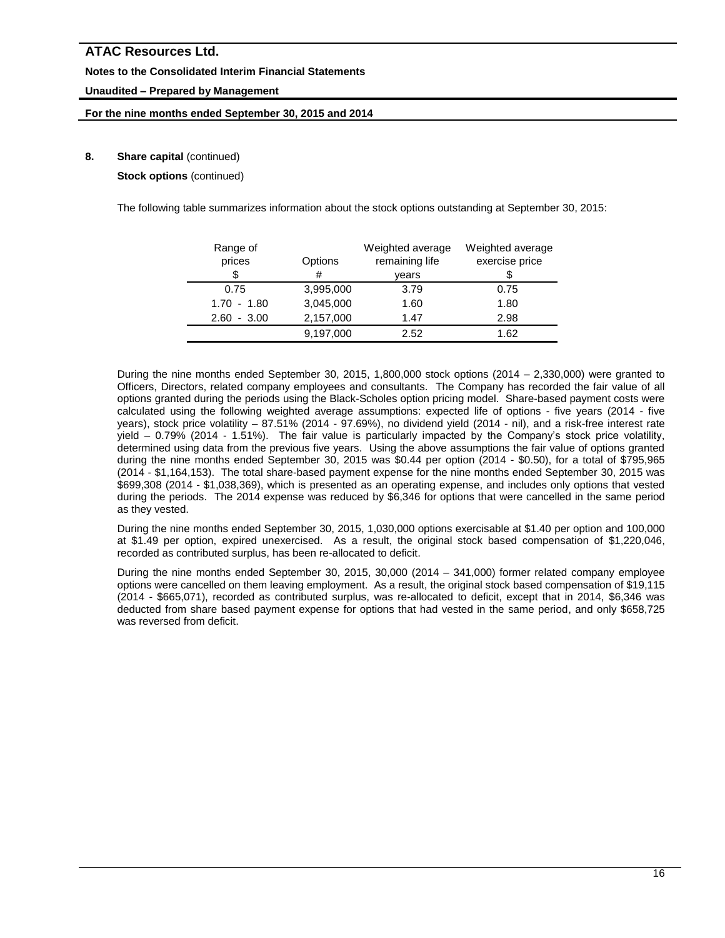### **Notes to the Consolidated Interim Financial Statements**

# **Unaudited – Prepared by Management**

### **For the nine months ended September 30, 2015 and 2014**

# **8.** Share capital (continued)

**Stock options** (continued)

The following table summarizes information about the stock options outstanding at September 30, 2015:

| Range of<br>prices | Options   | Weighted average<br>remaining life | Weighted average<br>exercise price |
|--------------------|-----------|------------------------------------|------------------------------------|
| \$                 | #         | vears                              |                                    |
| 0.75               | 3,995,000 | 3.79                               | 0.75                               |
| $1.70 - 1.80$      | 3,045,000 | 1.60                               | 1.80                               |
| $-3.00$<br>2.60    | 2,157,000 | 1.47                               | 2.98                               |
|                    | 9,197,000 | 2.52                               | 1.62                               |

During the nine months ended September 30, 2015, 1,800,000 stock options (2014 – 2,330,000) were granted to Officers, Directors, related company employees and consultants. The Company has recorded the fair value of all options granted during the periods using the Black-Scholes option pricing model. Share-based payment costs were calculated using the following weighted average assumptions: expected life of options - five years (2014 - five years), stock price volatility – 87.51% (2014 - 97.69%), no dividend yield (2014 - nil), and a risk-free interest rate yield – 0.79% (2014 - 1.51%). The fair value is particularly impacted by the Company's stock price volatility, determined using data from the previous five years. Using the above assumptions the fair value of options granted during the nine months ended September 30, 2015 was \$0.44 per option (2014 - \$0.50), for a total of \$795,965 (2014 - \$1,164,153). The total share-based payment expense for the nine months ended September 30, 2015 was \$699,308 (2014 - \$1,038,369), which is presented as an operating expense, and includes only options that vested during the periods. The 2014 expense was reduced by \$6,346 for options that were cancelled in the same period as they vested.

During the nine months ended September 30, 2015, 1,030,000 options exercisable at \$1.40 per option and 100,000 at \$1.49 per option, expired unexercised. As a result, the original stock based compensation of \$1,220,046, recorded as contributed surplus, has been re-allocated to deficit.

During the nine months ended September 30, 2015, 30,000 (2014 – 341,000) former related company employee options were cancelled on them leaving employment. As a result, the original stock based compensation of \$19,115 (2014 - \$665,071), recorded as contributed surplus, was re-allocated to deficit, except that in 2014, \$6,346 was deducted from share based payment expense for options that had vested in the same period, and only \$658,725 was reversed from deficit.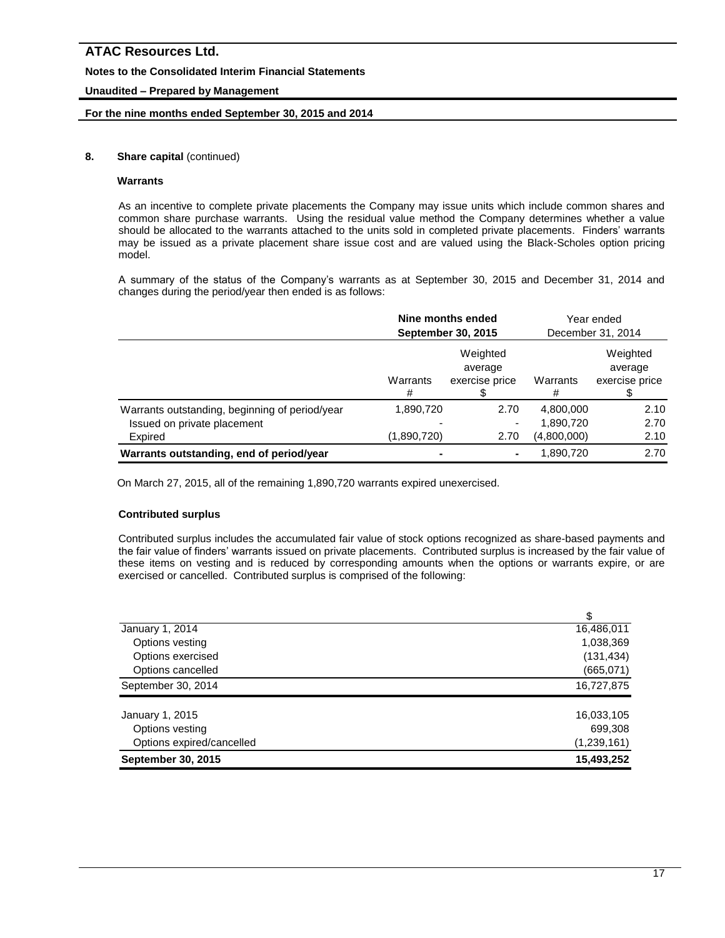### **Notes to the Consolidated Interim Financial Statements**

# **Unaudited – Prepared by Management**

### **For the nine months ended September 30, 2015 and 2014**

### **8.** Share capital (continued)

### **Warrants**

As an incentive to complete private placements the Company may issue units which include common shares and common share purchase warrants. Using the residual value method the Company determines whether a value should be allocated to the warrants attached to the units sold in completed private placements. Finders' warrants may be issued as a private placement share issue cost and are valued using the Black-Scholes option pricing model.

A summary of the status of the Company's warrants as at September 30, 2015 and December 31, 2014 and changes during the period/year then ended is as follows:

|                                                | Nine months ended<br><b>September 30, 2015</b> |                                       | Year ended<br>December 31, 2014 |                                       |
|------------------------------------------------|------------------------------------------------|---------------------------------------|---------------------------------|---------------------------------------|
|                                                | Warrants<br>#                                  | Weighted<br>average<br>exercise price | Warrants<br>#                   | Weighted<br>average<br>exercise price |
| Warrants outstanding, beginning of period/year | 1,890,720                                      | 2.70                                  | 4,800,000                       | 2.10                                  |
| Issued on private placement                    |                                                |                                       | 1,890,720                       | 2.70                                  |
| Expired                                        | (1,890,720)                                    | 2.70                                  | (4,800,000)                     | 2.10                                  |
| Warrants outstanding, end of period/year       |                                                |                                       | 1,890,720                       | 2.70                                  |

On March 27, 2015, all of the remaining 1,890,720 warrants expired unexercised.

### **Contributed surplus**

Contributed surplus includes the accumulated fair value of stock options recognized as share-based payments and the fair value of finders' warrants issued on private placements. Contributed surplus is increased by the fair value of these items on vesting and is reduced by corresponding amounts when the options or warrants expire, or are exercised or cancelled. Contributed surplus is comprised of the following:

| January 1, 2014           | 16,486,011    |
|---------------------------|---------------|
| Options vesting           | 1,038,369     |
| Options exercised         | (131, 434)    |
| Options cancelled         | (665,071)     |
| September 30, 2014        | 16,727,875    |
| January 1, 2015           | 16,033,105    |
| Options vesting           | 699,308       |
| Options expired/cancelled | (1, 239, 161) |
| <b>September 30, 2015</b> | 15,493,252    |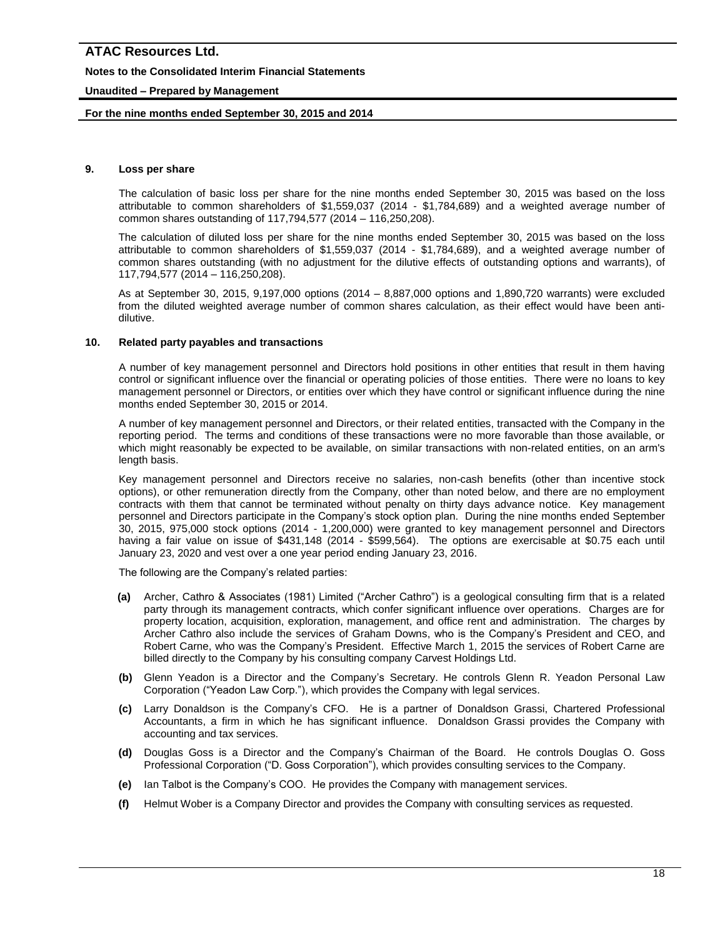### **Notes to the Consolidated Interim Financial Statements**

### **Unaudited – Prepared by Management**

### **For the nine months ended September 30, 2015 and 2014**

#### **9. Loss per share**

The calculation of basic loss per share for the nine months ended September 30, 2015 was based on the loss attributable to common shareholders of \$1,559,037 (2014 - \$1,784,689) and a weighted average number of common shares outstanding of 117,794,577 (2014 – 116,250,208).

The calculation of diluted loss per share for the nine months ended September 30, 2015 was based on the loss attributable to common shareholders of \$1,559,037 (2014 - \$1,784,689), and a weighted average number of common shares outstanding (with no adjustment for the dilutive effects of outstanding options and warrants), of 117,794,577 (2014 – 116,250,208).

As at September 30, 2015, 9,197,000 options (2014 – 8,887,000 options and 1,890,720 warrants) were excluded from the diluted weighted average number of common shares calculation, as their effect would have been antidilutive.

### **10. Related party payables and transactions**

A number of key management personnel and Directors hold positions in other entities that result in them having control or significant influence over the financial or operating policies of those entities. There were no loans to key management personnel or Directors, or entities over which they have control or significant influence during the nine months ended September 30, 2015 or 2014.

A number of key management personnel and Directors, or their related entities, transacted with the Company in the reporting period. The terms and conditions of these transactions were no more favorable than those available, or which might reasonably be expected to be available, on similar transactions with non-related entities, on an arm's length basis.

Key management personnel and Directors receive no salaries, non-cash benefits (other than incentive stock options), or other remuneration directly from the Company, other than noted below, and there are no employment contracts with them that cannot be terminated without penalty on thirty days advance notice. Key management personnel and Directors participate in the Company's stock option plan. During the nine months ended September 30, 2015, 975,000 stock options (2014 - 1,200,000) were granted to key management personnel and Directors having a fair value on issue of \$431,148 (2014 - \$599,564). The options are exercisable at \$0.75 each until January 23, 2020 and vest over a one year period ending January 23, 2016.

The following are the Company's related parties:

- **(a)** Archer, Cathro & Associates (1981) Limited ("Archer Cathro") is a geological consulting firm that is a related party through its management contracts, which confer significant influence over operations. Charges are for property location, acquisition, exploration, management, and office rent and administration. The charges by Archer Cathro also include the services of Graham Downs, who is the Company's President and CEO, and Robert Carne, who was the Company's President. Effective March 1, 2015 the services of Robert Carne are billed directly to the Company by his consulting company Carvest Holdings Ltd.
- **(b)** Glenn Yeadon is a Director and the Company's Secretary. He controls Glenn R. Yeadon Personal Law Corporation ("Yeadon Law Corp."), which provides the Company with legal services.
- **(c)** Larry Donaldson is the Company's CFO. He is a partner of Donaldson Grassi, Chartered Professional Accountants, a firm in which he has significant influence. Donaldson Grassi provides the Company with accounting and tax services.
- **(d)** Douglas Goss is a Director and the Company's Chairman of the Board. He controls Douglas O. Goss Professional Corporation ("D. Goss Corporation"), which provides consulting services to the Company.
- **(e)** Ian Talbot is the Company's COO. He provides the Company with management services.
- **(f)** Helmut Wober is a Company Director and provides the Company with consulting services as requested.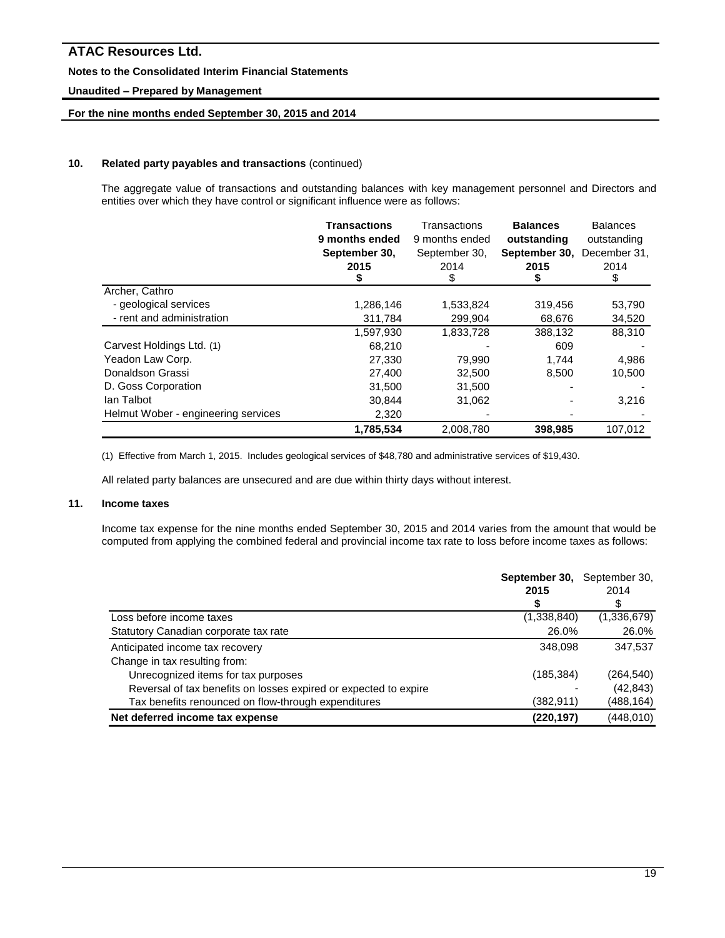### **Notes to the Consolidated Interim Financial Statements**

# **Unaudited – Prepared by Management**

# **For the nine months ended September 30, 2015 and 2014**

### **10. Related party payables and transactions** (continued)

The aggregate value of transactions and outstanding balances with key management personnel and Directors and entities over which they have control or significant influence were as follows:

|                                     | <b>Transactions</b><br>9 months ended<br>September 30,<br>2015<br>s. | Transactions<br>9 months ended<br>September 30,<br>2014<br>\$ | <b>Balances</b><br>outstanding<br>September 30,<br>2015 | <b>Balances</b><br>outstanding<br>December 31,<br>2014<br>\$ |
|-------------------------------------|----------------------------------------------------------------------|---------------------------------------------------------------|---------------------------------------------------------|--------------------------------------------------------------|
| Archer, Cathro                      |                                                                      |                                                               |                                                         |                                                              |
| - geological services               | 1,286,146                                                            | 1,533,824                                                     | 319,456                                                 | 53,790                                                       |
| - rent and administration           | 311,784                                                              | 299,904                                                       | 68,676                                                  | 34,520                                                       |
|                                     | 1,597,930                                                            | 1,833,728                                                     | 388.132                                                 | 88,310                                                       |
| Carvest Holdings Ltd. (1)           | 68,210                                                               |                                                               | 609                                                     |                                                              |
| Yeadon Law Corp.                    | 27,330                                                               | 79,990                                                        | 1.744                                                   | 4,986                                                        |
| Donaldson Grassi                    | 27,400                                                               | 32,500                                                        | 8,500                                                   | 10,500                                                       |
| D. Goss Corporation                 | 31,500                                                               | 31,500                                                        |                                                         |                                                              |
| lan Talbot                          | 30,844                                                               | 31,062                                                        |                                                         | 3,216                                                        |
| Helmut Wober - engineering services | 2,320                                                                |                                                               |                                                         |                                                              |
|                                     | 1,785,534                                                            | 2,008,780                                                     | 398,985                                                 | 107,012                                                      |

(1) Effective from March 1, 2015. Includes geological services of \$48,780 and administrative services of \$19,430.

All related party balances are unsecured and are due within thirty days without interest.

### **11. Income taxes**

Income tax expense for the nine months ended September 30, 2015 and 2014 varies from the amount that would be computed from applying the combined federal and provincial income tax rate to loss before income taxes as follows:

|                                                                  | September 30,<br>2015 | September 30,<br>2014 |
|------------------------------------------------------------------|-----------------------|-----------------------|
|                                                                  | ъ                     | \$                    |
| Loss before income taxes                                         | (1,338,840)           | (1,336,679)           |
| Statutory Canadian corporate tax rate                            | 26.0%                 | 26.0%                 |
| Anticipated income tax recovery                                  | 348.098               | 347.537               |
| Change in tax resulting from:                                    |                       |                       |
| Unrecognized items for tax purposes                              | (185, 384)            | (264,540)             |
| Reversal of tax benefits on losses expired or expected to expire |                       | (42, 843)             |
| Tax benefits renounced on flow-through expenditures              | (382,911)             | (488,164)             |
| Net deferred income tax expense                                  | (220, 197)            | (448,010)             |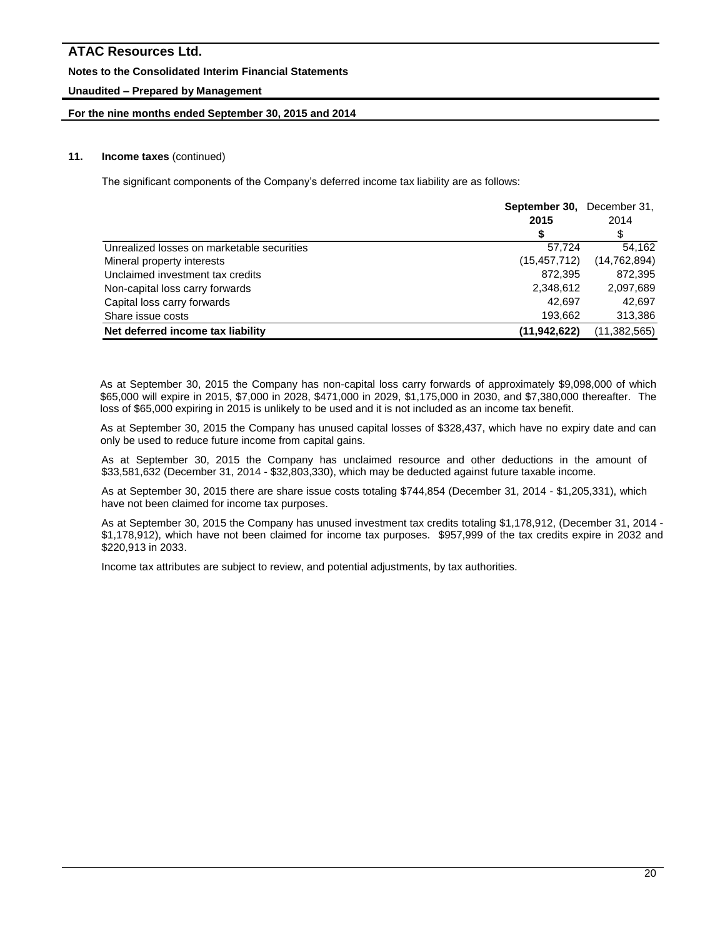### **Notes to the Consolidated Interim Financial Statements**

# **Unaudited – Prepared by Management**

### **For the nine months ended September 30, 2015 and 2014**

### **11. Income taxes** (continued)

The significant components of the Company's deferred income tax liability are as follows:

|                                            | <b>September 30.</b> December 31. |                |
|--------------------------------------------|-----------------------------------|----------------|
|                                            | 2015                              | 2014           |
|                                            |                                   | \$             |
| Unrealized losses on marketable securities | 57.724                            | 54.162         |
| Mineral property interests                 | (15, 457, 712)                    | (14, 762, 894) |
| Unclaimed investment tax credits           | 872.395                           | 872,395        |
| Non-capital loss carry forwards            | 2,348,612                         | 2,097,689      |
| Capital loss carry forwards                | 42.697                            | 42.697         |
| Share issue costs                          | 193.662                           | 313,386        |
| Net deferred income tax liability          | (11, 942, 622)                    | (11, 382, 565) |

As at September 30, 2015 the Company has non-capital loss carry forwards of approximately \$9,098,000 of which \$65,000 will expire in 2015, \$7,000 in 2028, \$471,000 in 2029, \$1,175,000 in 2030, and \$7,380,000 thereafter. The loss of \$65,000 expiring in 2015 is unlikely to be used and it is not included as an income tax benefit.

As at September 30, 2015 the Company has unused capital losses of \$328,437, which have no expiry date and can only be used to reduce future income from capital gains.

As at September 30, 2015 the Company has unclaimed resource and other deductions in the amount of \$33,581,632 (December 31, 2014 - \$32,803,330), which may be deducted against future taxable income.

As at September 30, 2015 there are share issue costs totaling \$744,854 (December 31, 2014 - \$1,205,331), which have not been claimed for income tax purposes.

As at September 30, 2015 the Company has unused investment tax credits totaling \$1,178,912, (December 31, 2014 - \$1,178,912), which have not been claimed for income tax purposes. \$957,999 of the tax credits expire in 2032 and \$220,913 in 2033.

Income tax attributes are subject to review, and potential adjustments, by tax authorities.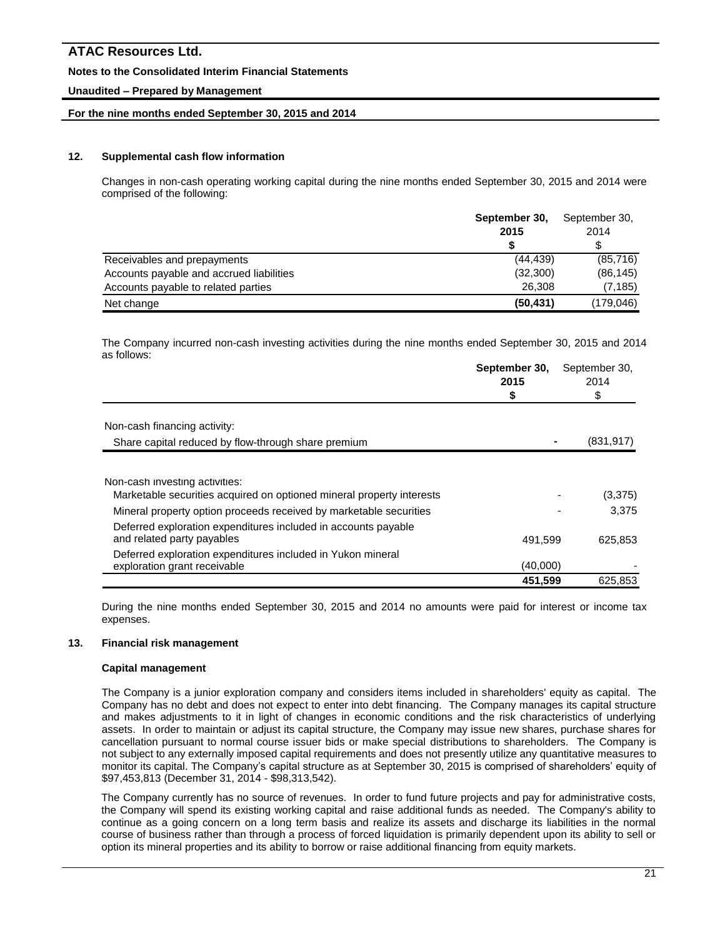### **Notes to the Consolidated Interim Financial Statements**

### **Unaudited – Prepared by Management**

### **For the nine months ended September 30, 2015 and 2014**

### **12. Supplemental cash flow information**

Changes in non-cash operating working capital during the nine months ended September 30, 2015 and 2014 were comprised of the following:

|                                          | September 30,<br>2015 | September 30,<br>2014 |
|------------------------------------------|-----------------------|-----------------------|
|                                          |                       | \$                    |
| Receivables and prepayments              | (44, 439)             | (85, 716)             |
| Accounts payable and accrued liabilities | (32,300)              | (86, 145)             |
| Accounts payable to related parties      | 26,308                | (7, 185)              |
| Net change                               | (50, 431)             | (179,046)             |

The Company incurred non-cash investing activities during the nine months ended September 30, 2015 and 2014 as follows:

|                                                                                              | September 30,<br>2015 | September 30,<br>2014 |
|----------------------------------------------------------------------------------------------|-----------------------|-----------------------|
|                                                                                              |                       |                       |
| Non-cash financing activity:                                                                 |                       |                       |
| Share capital reduced by flow-through share premium                                          |                       | (831, 917)            |
| Non-cash investing activities:                                                               |                       |                       |
| Marketable securities acquired on optioned mineral property interests                        |                       | (3,375)               |
| Mineral property option proceeds received by marketable securities                           |                       | 3.375                 |
| Deferred exploration expenditures included in accounts payable<br>and related party payables | 491,599               | 625,853               |
| Deferred exploration expenditures included in Yukon mineral<br>exploration grant receivable  | (40,000)              |                       |
|                                                                                              | 451.599               | 625.853               |

During the nine months ended September 30, 2015 and 2014 no amounts were paid for interest or income tax expenses.

### **13. Financial risk management**

### **Capital management**

The Company is a junior exploration company and considers items included in shareholders' equity as capital. The Company has no debt and does not expect to enter into debt financing. The Company manages its capital structure and makes adjustments to it in light of changes in economic conditions and the risk characteristics of underlying assets. In order to maintain or adjust its capital structure, the Company may issue new shares, purchase shares for cancellation pursuant to normal course issuer bids or make special distributions to shareholders. The Company is not subject to any externally imposed capital requirements and does not presently utilize any quantitative measures to monitor its capital. The Company's capital structure as at September 30, 2015 is comprised of shareholders' equity of \$97,453,813 (December 31, 2014 - \$98,313,542).

The Company currently has no source of revenues. In order to fund future projects and pay for administrative costs, the Company will spend its existing working capital and raise additional funds as needed. The Company's ability to continue as a going concern on a long term basis and realize its assets and discharge its liabilities in the normal course of business rather than through a process of forced liquidation is primarily dependent upon its ability to sell or option its mineral properties and its ability to borrow or raise additional financing from equity markets.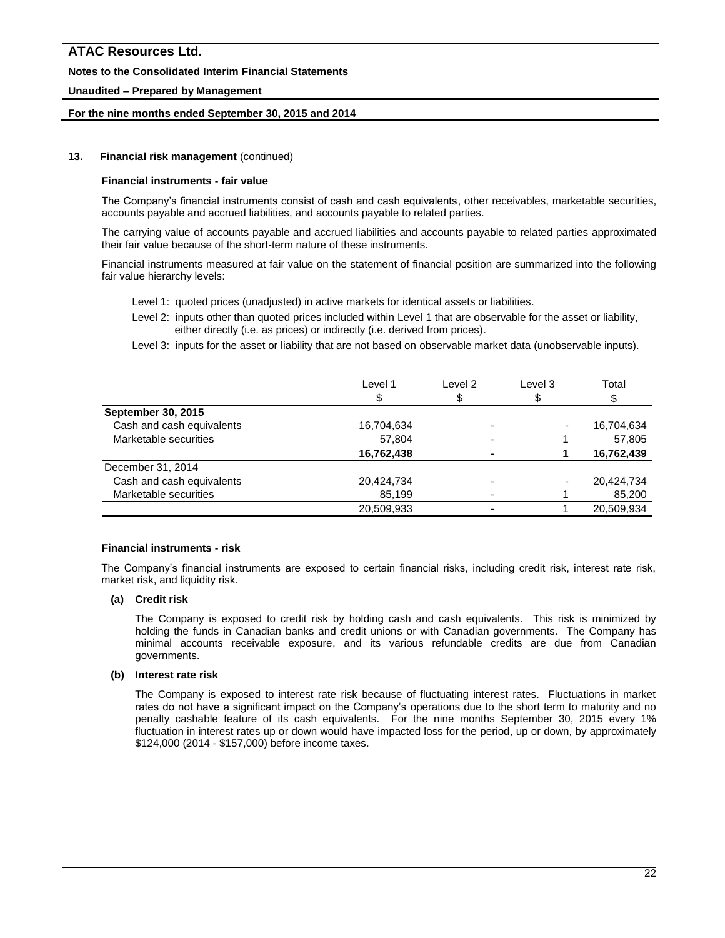### **Notes to the Consolidated Interim Financial Statements**

### **Unaudited – Prepared by Management**

### **For the nine months ended September 30, 2015 and 2014**

### **13. Financial risk management** (continued)

#### **Financial instruments - fair value**

The Company's financial instruments consist of cash and cash equivalents, other receivables, marketable securities, accounts payable and accrued liabilities, and accounts payable to related parties.

The carrying value of accounts payable and accrued liabilities and accounts payable to related parties approximated their fair value because of the short-term nature of these instruments.

Financial instruments measured at fair value on the statement of financial position are summarized into the following fair value hierarchy levels:

- Level 1: quoted prices (unadjusted) in active markets for identical assets or liabilities.
- Level 2: inputs other than quoted prices included within Level 1 that are observable for the asset or liability, either directly (i.e. as prices) or indirectly (i.e. derived from prices).
- Level 3: inputs for the asset or liability that are not based on observable market data (unobservable inputs).

| Level 1    | Level 2 | Level 3 | Total      |
|------------|---------|---------|------------|
|            | S       |         |            |
|            |         |         |            |
| 16,704,634 |         |         | 16,704,634 |
| 57,804     |         |         | 57,805     |
| 16,762,438 |         |         | 16,762,439 |
|            |         |         |            |
| 20,424,734 |         |         | 20,424,734 |
| 85,199     |         |         | 85,200     |
| 20,509,933 |         |         | 20,509,934 |
|            |         |         |            |

#### **Financial instruments - risk**

The Company's financial instruments are exposed to certain financial risks, including credit risk, interest rate risk, market risk, and liquidity risk.

### **(a) Credit risk**

The Company is exposed to credit risk by holding cash and cash equivalents. This risk is minimized by holding the funds in Canadian banks and credit unions or with Canadian governments. The Company has minimal accounts receivable exposure, and its various refundable credits are due from Canadian governments.

### **(b) Interest rate risk**

The Company is exposed to interest rate risk because of fluctuating interest rates. Fluctuations in market rates do not have a significant impact on the Company's operations due to the short term to maturity and no penalty cashable feature of its cash equivalents. For the nine months September 30, 2015 every 1% fluctuation in interest rates up or down would have impacted loss for the period, up or down, by approximately \$124,000 (2014 - \$157,000) before income taxes.